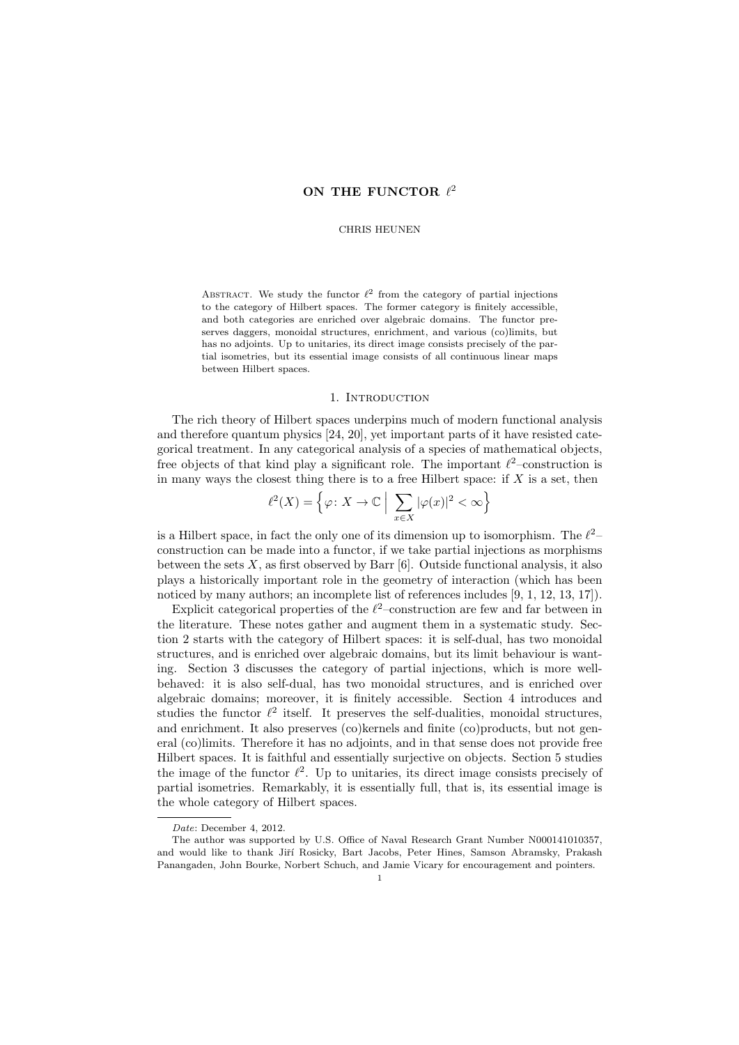# ON THE FUNCTOR  $\ell^2$

#### CHRIS HEUNEN

ABSTRACT. We study the functor  $\ell^2$  from the category of partial injections to the category of Hilbert spaces. The former category is finitely accessible, and both categories are enriched over algebraic domains. The functor preserves daggers, monoidal structures, enrichment, and various (co)limits, but has no adjoints. Up to unitaries, its direct image consists precisely of the partial isometries, but its essential image consists of all continuous linear maps between Hilbert spaces.

### 1. INTRODUCTION

The rich theory of Hilbert spaces underpins much of modern functional analysis and therefore quantum physics [24, 20], yet important parts of it have resisted categorical treatment. In any categorical analysis of a species of mathematical objects, free objects of that kind play a significant role. The important  $\ell^2$ -construction is in many ways the closest thing there is to a free Hilbert space: if  $X$  is a set, then

$$
\ell^{2}(X) = \left\{ \varphi \colon X \to \mathbb{C} \; \Big| \; \sum_{x \in X} |\varphi(x)|^{2} < \infty \right\}
$$

is a Hilbert space, in fact the only one of its dimension up to isomorphism. The  $\ell^2$ construction can be made into a functor, if we take partial injections as morphisms between the sets  $X$ , as first observed by Barr [6]. Outside functional analysis, it also plays a historically important role in the geometry of interaction (which has been noticed by many authors; an incomplete list of references includes [9, 1, 12, 13, 17]).

Explicit categorical properties of the  $\ell^2$ -construction are few and far between in the literature. These notes gather and augment them in a systematic study. Section 2 starts with the category of Hilbert spaces: it is self-dual, has two monoidal structures, and is enriched over algebraic domains, but its limit behaviour is wanting. Section 3 discusses the category of partial injections, which is more wellbehaved: it is also self-dual, has two monoidal structures, and is enriched over algebraic domains; moreover, it is finitely accessible. Section 4 introduces and studies the functor  $\ell^2$  itself. It preserves the self-dualities, monoidal structures, and enrichment. It also preserves (co)kernels and finite (co)products, but not general (co)limits. Therefore it has no adjoints, and in that sense does not provide free Hilbert spaces. It is faithful and essentially surjective on objects. Section 5 studies the image of the functor  $\ell^2$ . Up to unitaries, its direct image consists precisely of partial isometries. Remarkably, it is essentially full, that is, its essential image is the whole category of Hilbert spaces.

Date: December 4, 2012.

The author was supported by U.S. Office of Naval Research Grant Number N000141010357, and would like to thank Jiří Rosicky, Bart Jacobs, Peter Hines, Samson Abramsky, Prakash Panangaden, John Bourke, Norbert Schuch, and Jamie Vicary for encouragement and pointers.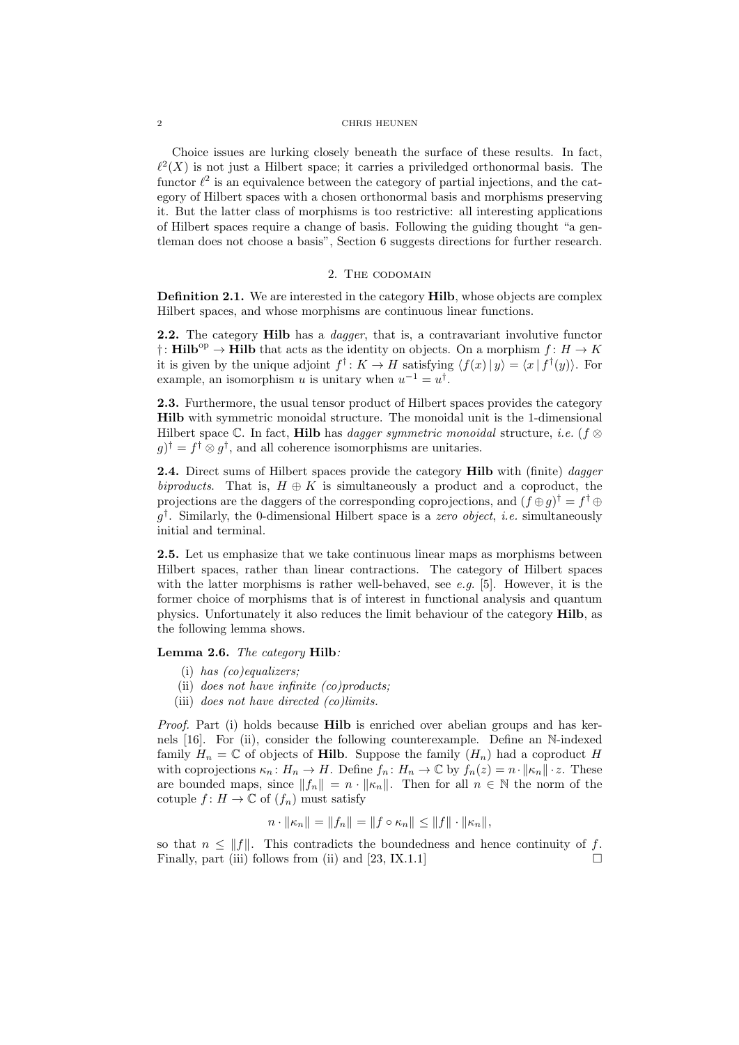Choice issues are lurking closely beneath the surface of these results. In fact,  $\ell^2(X)$  is not just a Hilbert space; it carries a priviledged orthonormal basis. The functor  $\ell^2$  is an equivalence between the category of partial injections, and the category of Hilbert spaces with a chosen orthonormal basis and morphisms preserving it. But the latter class of morphisms is too restrictive: all interesting applications of Hilbert spaces require a change of basis. Following the guiding thought "a gentleman does not choose a basis", Section 6 suggests directions for further research.

#### 2. The codomain

Definition 2.1. We are interested in the category Hilb, whose objects are complex Hilbert spaces, and whose morphisms are continuous linear functions.

2.2. The category Hilb has a *dagger*, that is, a contravariant involutive functor †: **Hilb**<sup>op</sup> → **Hilb** that acts as the identity on objects. On a morphism  $f: H \to K$ it is given by the unique adjoint  $f^{\dagger}$ :  $K \to H$  satisfying  $\langle f(x) | y \rangle = \langle x | f^{\dagger}(y) \rangle$ . For example, an isomorphism u is unitary when  $u^{-1} = u^{\dagger}$ .

2.3. Furthermore, the usual tensor product of Hilbert spaces provides the category Hilb with symmetric monoidal structure. The monoidal unit is the 1-dimensional Hilbert space C. In fact, Hilb has *dagger symmetric monoidal* structure, *i.e.* ( $f \otimes$  $g$ <sup>†</sup> =  $f^{\dagger} \otimes g^{\dagger}$ , and all coherence isomorphisms are unitaries.

2.4. Direct sums of Hilbert spaces provide the category Hilb with (finite) dagger biproducts. That is,  $H \oplus K$  is simultaneously a product and a coproduct, the projections are the daggers of the corresponding coprojections, and  $(f \oplus g)^\dagger = f^\dagger \oplus g$  $g^{\dagger}$ . Similarly, the 0-dimensional Hilbert space is a *zero object*, *i.e.* simultaneously initial and terminal.

2.5. Let us emphasize that we take continuous linear maps as morphisms between Hilbert spaces, rather than linear contractions. The category of Hilbert spaces with the latter morphisms is rather well-behaved, see e.g. [5]. However, it is the former choice of morphisms that is of interest in functional analysis and quantum physics. Unfortunately it also reduces the limit behaviour of the category Hilb, as the following lemma shows.

### Lemma 2.6. The category Hilb:

- (i) has (co)equalizers;
- (ii) does not have infinite (co)products;
- (iii) does not have directed (co)limits.

Proof. Part (i) holds because **Hilb** is enriched over abelian groups and has kernels [16]. For (ii), consider the following counterexample. Define an N-indexed family  $H_n = \mathbb{C}$  of objects of **Hilb**. Suppose the family  $(H_n)$  had a coproduct H with coprojections  $\kappa_n: H_n \to H$ . Define  $f_n: H_n \to \mathbb{C}$  by  $f_n(z) = n \cdot ||\kappa_n|| \cdot z$ . These are bounded maps, since  $||f_n|| = n \cdot ||\kappa_n||$ . Then for all  $n \in \mathbb{N}$  the norm of the cotuple  $f: H \to \mathbb{C}$  of  $(f_n)$  must satisfy

$$
n \cdot ||\kappa_n|| = ||f_n|| = ||f \circ \kappa_n|| \le ||f|| \cdot ||\kappa_n||,
$$

so that  $n \leq ||f||$ . This contradicts the boundedness and hence continuity of f. Finally, part (iii) follows from (ii) and [23, IX.1.1]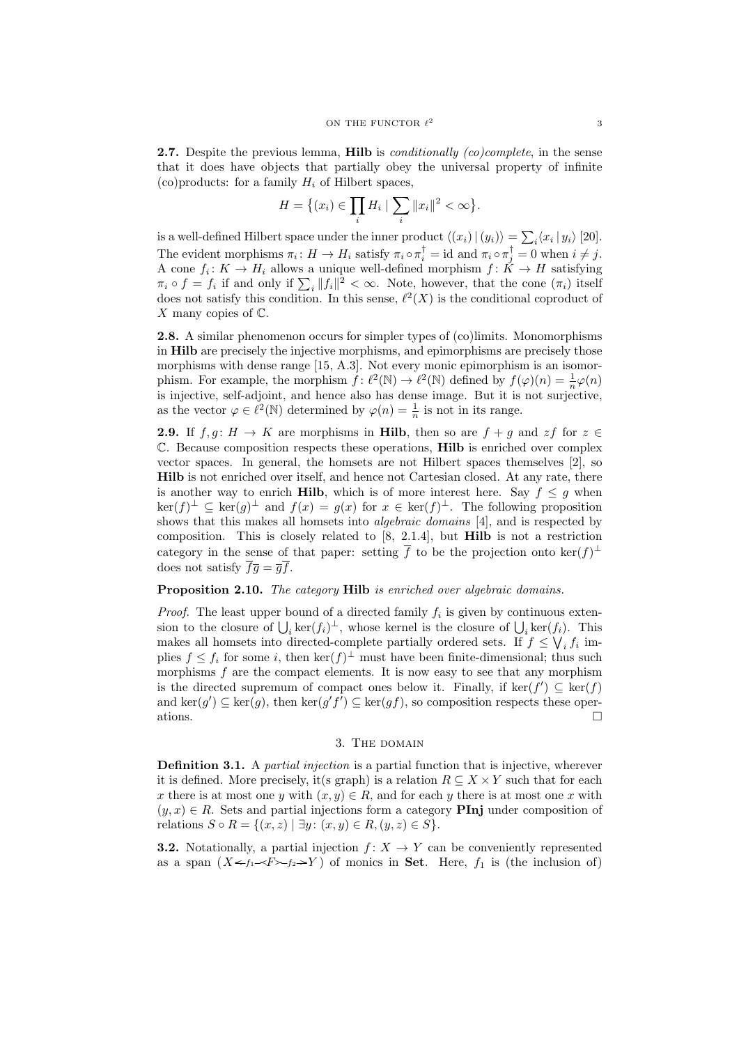**2.7.** Despite the previous lemma, **Hilb** is *conditionally (co)complete*, in the sense that it does have objects that partially obey the universal property of infinite (co)products: for a family  $H_i$  of Hilbert spaces,

$$
H = \{(x_i) \in \prod_i H_i \mid \sum_i \|x_i\|^2 < \infty\}.
$$

is a well-defined Hilbert space under the inner product  $\langle (x_i) | (y_i) \rangle = \sum_i \langle x_i | y_i \rangle$  [20]. The evident morphisms  $\pi_i: H \to H_i$  satisfy  $\pi_i \circ \pi_i^{\dagger} = \text{id}$  and  $\pi_i \circ \pi_j^{\dagger} = 0$  when  $i \neq j$ . A cone  $f_i: K \to H_i$  allows a unique well-defined morphism  $f: K \to H$  satisfying  $\pi_i \circ f = f_i$  if and only if  $\sum_i ||f_i||^2 < \infty$ . Note, however, that the cone  $(\pi_i)$  itself does not satisfy this condition. In this sense,  $\ell^2(X)$  is the conditional coproduct of X many copies of  $\mathbb{C}$ .

2.8. A similar phenomenon occurs for simpler types of (co)limits. Monomorphisms in Hilb are precisely the injective morphisms, and epimorphisms are precisely those morphisms with dense range [15, A.3]. Not every monic epimorphism is an isomorphism. For example, the morphism  $\hat{f} : \ell^2(\mathbb{N}) \to \ell^2(\mathbb{N})$  defined by  $f(\varphi)(n) = \frac{1}{n}\varphi(n)$ is injective, self-adjoint, and hence also has dense image. But it is not surjective, as the vector  $\varphi \in \ell^2(\mathbb{N})$  determined by  $\varphi(n) = \frac{1}{n}$  is not in its range.

**2.9.** If  $f, g: H \to K$  are morphisms in Hilb, then so are  $f + g$  and  $zf$  for  $z \in$ C. Because composition respects these operations, Hilb is enriched over complex vector spaces. In general, the homsets are not Hilbert spaces themselves [2], so Hilb is not enriched over itself, and hence not Cartesian closed. At any rate, there is another way to enrich Hilb, which is of more interest here. Say  $f \leq g$  when  $\ker(f)^{\perp} \subseteq \ker(g)^{\perp}$  and  $f(x) = g(x)$  for  $x \in \ker(f)^{\perp}$ . The following proposition shows that this makes all homsets into algebraic domains [4], and is respected by composition. This is closely related to  $[8, 2.1.4]$ , but **Hilb** is not a restriction category in the sense of that paper: setting  $\bar{f}$  to be the projection onto  $\ker(f)^{\perp}$ does not satisfy  $\overline{f}\overline{q} = \overline{q}\overline{f}$ .

# Proposition 2.10. The category Hilb is enriched over algebraic domains.

*Proof.* The least upper bound of a directed family  $f_i$  is given by continuous extension to the closure of  $\bigcup_i \ker(f_i)^{\perp}$ , whose kernel is the closure of  $\bigcup_i \ker(f_i)$ . This makes all homsets into directed-complete partially ordered sets. If  $f \leq \bigvee_i f_i$  implies  $f \leq f_i$  for some i, then  $\ker(f)^{\perp}$  must have been finite-dimensional; thus such morphisms  $f$  are the compact elements. It is now easy to see that any morphism is the directed supremum of compact ones below it. Finally, if  $\ker(f') \subseteq \ker(f)$ and ker $(g') \subseteq \ker(g)$ , then  $\ker(g'f') \subseteq \ker(gf)$ , so composition respects these operations.  $\Box$ 

## 3. THE DOMAIN

**Definition 3.1.** A *partial injection* is a partial function that is injective, wherever it is defined. More precisely, it(s graph) is a relation  $R \subseteq X \times Y$  such that for each x there is at most one y with  $(x, y) \in R$ , and for each y there is at most one x with  $(y, x) \in R$ . Sets and partial injections form a category **PInj** under composition of relations  $S \circ R = \{(x, z) | \exists y : (x, y) \in R, (y, z) \in S\}.$ 

**3.2.** Notationally, a partial injection  $f: X \to Y$  can be conveniently represented as a span  $(X \leq f_1 \leq F \geq f_2 \geq Y)$  of monics in **Set**. Here,  $f_1$  is (the inclusion of)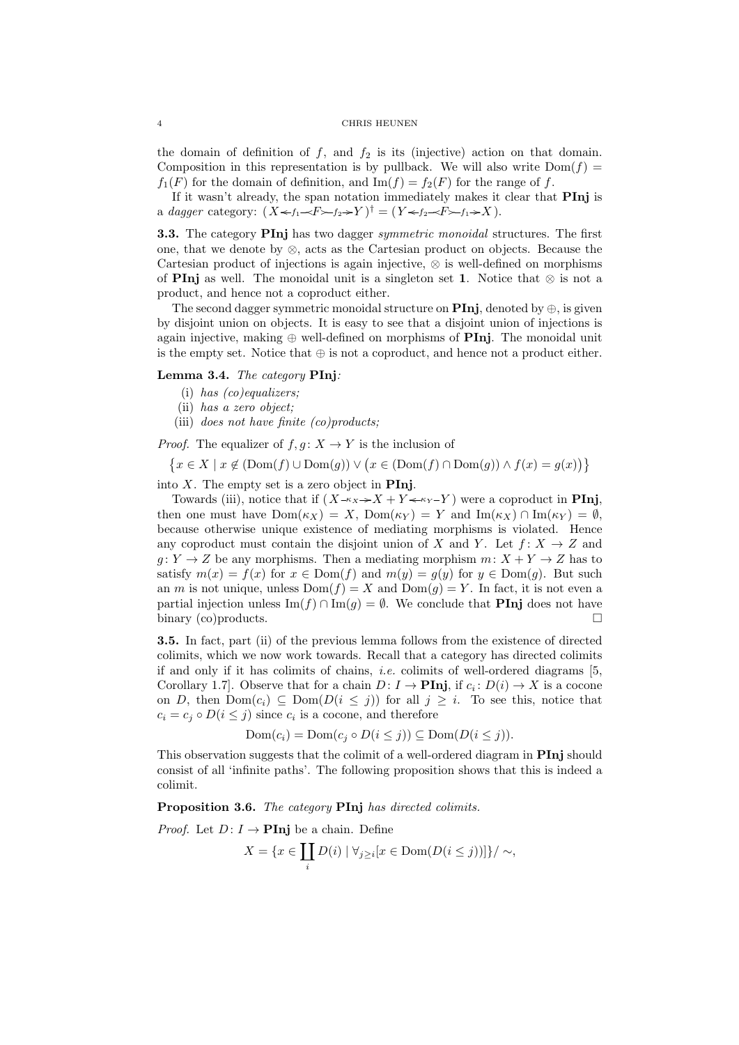the domain of definition of  $f$ , and  $f_2$  is its (injective) action on that domain. Composition in this representation is by pullback. We will also write  $Dom(f)$  $f_1(F)$  for the domain of definition, and  $\text{Im}(f) = f_2(F)$  for the range of f.

If it wasn't already, the span notation immediately makes it clear that PInj is a dagger category:  $(X \leftarrow f_1 \leftarrow F \leftarrow f_2 \rightarrow Y)^{\dagger} = (Y \leftarrow f_2 \leftarrow F \leftarrow f_1 \rightarrow X)$ .

3.3. The category PInj has two dagger symmetric monoidal structures. The first one, that we denote by ⊗, acts as the Cartesian product on objects. Because the Cartesian product of injections is again injective, ⊗ is well-defined on morphisms of PInj as well. The monoidal unit is a singleton set 1. Notice that  $\otimes$  is not a product, and hence not a coproduct either.

The second dagger symmetric monoidal structure on **PInj**, denoted by  $\oplus$ , is given by disjoint union on objects. It is easy to see that a disjoint union of injections is again injective, making  $\oplus$  well-defined on morphisms of **PInj**. The monoidal unit is the empty set. Notice that  $\oplus$  is not a coproduct, and hence not a product either.

## Lemma 3.4. The category PInj:

- (i) has (co)equalizers;
- (ii) has a zero object;
- (iii) does not have finite  $(co)$  products;

*Proof.* The equalizer of  $f, g: X \to Y$  is the inclusion of

$$
\{x \in X \mid x \notin (\text{Dom}(f) \cup \text{Dom}(g)) \lor (x \in (\text{Dom}(f) \cap \text{Dom}(g)) \land f(x) = g(x))\}
$$

into  $X$ . The empty set is a zero object in **PInj**.

Towards (iii), notice that if  $(X-\kappa_X \rightarrow X + Y \leftarrow \kappa_Y - Y)$  were a coproduct in **PInj**, then one must have  $Dom(\kappa_X) = X$ ,  $Dom(\kappa_Y) = Y$  and  $Im(\kappa_X) \cap Im(\kappa_Y) = \emptyset$ . because otherwise unique existence of mediating morphisms is violated. Hence any coproduct must contain the disjoint union of X and Y. Let  $f: X \to Z$  and  $g: Y \to Z$  be any morphisms. Then a mediating morphism  $m: X + Y \to Z$  has to satisfy  $m(x) = f(x)$  for  $x \in Dom(f)$  and  $m(y) = g(y)$  for  $y \in Dom(g)$ . But such an m is not unique, unless  $Dom(f) = X$  and  $Dom(g) = Y$ . In fact, it is not even a partial injection unless  $\text{Im}(f) \cap \text{Im}(g) = \emptyset$ . We conclude that **PInj** does not have binary (co)products.

3.5. In fact, part (ii) of the previous lemma follows from the existence of directed colimits, which we now work towards. Recall that a category has directed colimits if and only if it has colimits of chains, i.e. colimits of well-ordered diagrams [5, Corollary 1.7]. Observe that for a chain  $D: I \to \textbf{Pinj}$ , if  $c_i: D(i) \to X$  is a cocone on D, then  $Dom(c_i) \subseteq Dom(D(i \leq j))$  for all  $j \geq i$ . To see this, notice that  $c_i = c_j \circ D(i \leq j)$  since  $c_i$  is a cocone, and therefore

$$
Dom(c_i) = Dom(c_j \circ D(i \le j)) \subseteq Dom(D(i \le j)).
$$

This observation suggests that the colimit of a well-ordered diagram in **PInj** should consist of all 'infinite paths'. The following proposition shows that this is indeed a colimit.

Proposition 3.6. The category PInj has directed colimits.

*Proof.* Let  $D: I \to \text{Pin}$  be a chain. Define

$$
X = \{ x \in \coprod_i D(i) \mid \forall_{j \geq i} [x \in \text{Dom}(D(i \leq j))] \} / \sim,
$$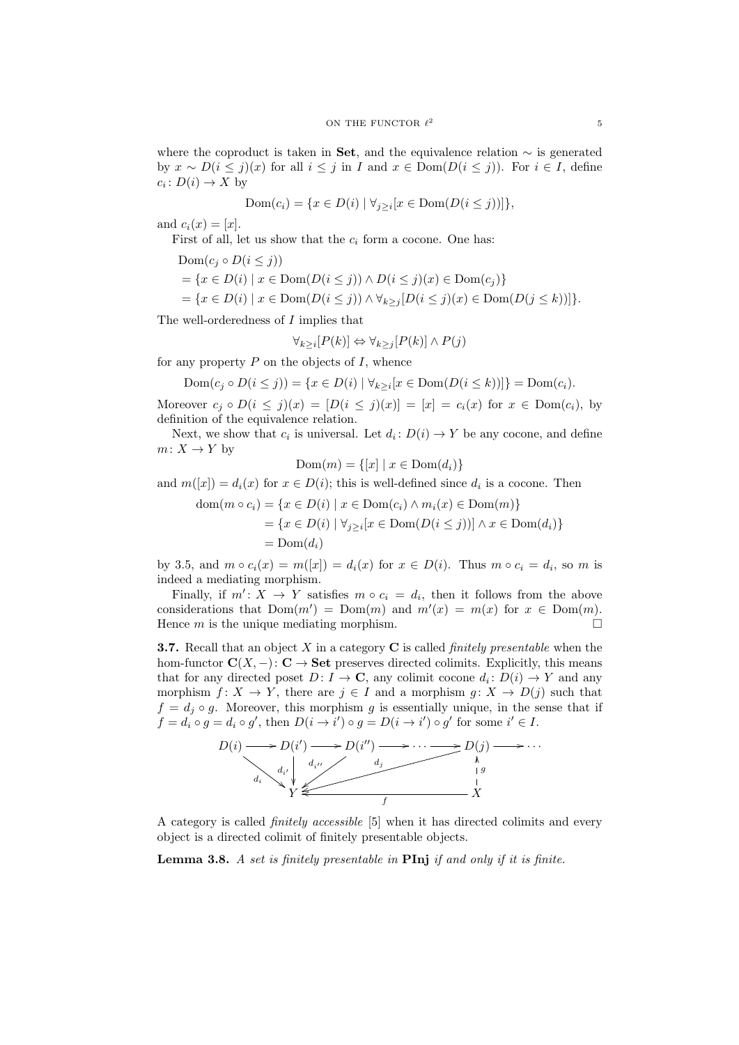where the coproduct is taken in Set, and the equivalence relation  $\sim$  is generated by  $x \sim D(i \leq j)(x)$  for all  $i \leq j$  in I and  $x \in \text{Dom}(D(i \leq j))$ . For  $i \in I$ , define  $c_i \colon D(i) \to X$  by

$$
Dom(c_i) = \{x \in D(i) \mid \forall j \geq i [x \in Dom(D(i \leq j))]\},\
$$

and  $c_i(x) = [x]$ .

First of all, let us show that the  $c_i$  form a cocone. One has:

$$
Dom(c_j \circ D(i \le j))
$$
  
= { $x \in D(i) | x \in Dom(D(i \le j)) \land D(i \le j)(x) \in Dom(c_j)$ }  
= { $x \in D(i) | x \in Dom(D(i \le j)) \land \forall_{k \ge j} [D(i \le j)(x) \in Dom(D(j \le k))]$ }

The well-orderedness of I implies that

$$
\forall_{k \ge i} [P(k)] \Leftrightarrow \forall_{k \ge j} [P(k)] \wedge P(j)
$$

for any property  $P$  on the objects of  $I$ , whence

$$
Dom(c_j \circ D(i \le j)) = \{ x \in D(i) \mid \forall_{k \ge i} [x \in Dom(D(i \le k))] \} = Dom(c_i).
$$

Moreover  $c_j \circ D(i \le j)(x) = [D(i \le j)(x)] = [x] = c_i(x)$  for  $x \in \text{Dom}(c_i)$ , by definition of the equivalence relation.

Next, we show that  $c_i$  is universal. Let  $d_i: D(i) \to Y$  be any cocone, and define  $m: X \to Y$  by

$$
\text{Dom}(m) = \{ [x] \mid x \in \text{Dom}(d_i) \}
$$

and  $m([x]) = d_i(x)$  for  $x \in D(i)$ ; this is well-defined since  $d_i$  is a cocone. Then

$$
\text{dom}(m \circ c_i) = \{x \in D(i) \mid x \in \text{Dom}(c_i) \land m_i(x) \in \text{Dom}(m)\}
$$
\n
$$
= \{x \in D(i) \mid \forall_{j \ge i}[x \in \text{Dom}(D(i \le j))] \land x \in \text{Dom}(d_i)\}
$$
\n
$$
= \text{Dom}(d_i)
$$

by 3.5, and  $m \circ c_i(x) = m([x]) = d_i(x)$  for  $x \in D(i)$ . Thus  $m \circ c_i = d_i$ , so  $m$  is indeed a mediating morphism.

Finally, if  $m' : X \to Y$  satisfies  $m \circ c_i = d_i$ , then it follows from the above considerations that  $Dom(m') = Dom(m)$  and  $m'(x) = m(x)$  for  $x \in Dom(m)$ . Hence  $m$  is the unique mediating morphism.  $\square$ 

**3.7.** Recall that an object X in a category  $C$  is called *finitely presentable* when the hom-functor  $\mathbf{C}(X, -): \mathbf{C} \to \mathbf{Set}$  preserves directed colimits. Explicitly, this means that for any directed poset  $D: I \to \mathbb{C}$ , any colimit cocone  $d_i: D(i) \to Y$  and any morphism  $f: X \to Y$ , there are  $j \in I$  and a morphism  $g: X \to D(j)$  such that  $f = d_i \circ g$ . Moreover, this morphism g is essentially unique, in the sense that if  $f = d_i \circ g = d_i \circ g'$ , then  $D(i \to i') \circ g = D(i \to i') \circ g'$  for some  $i' \in I$ .



A category is called finitely accessible [5] when it has directed colimits and every object is a directed colimit of finitely presentable objects.

**Lemma 3.8.** A set is finitely presentable in  $\text{Pin}$  if and only if it is finite.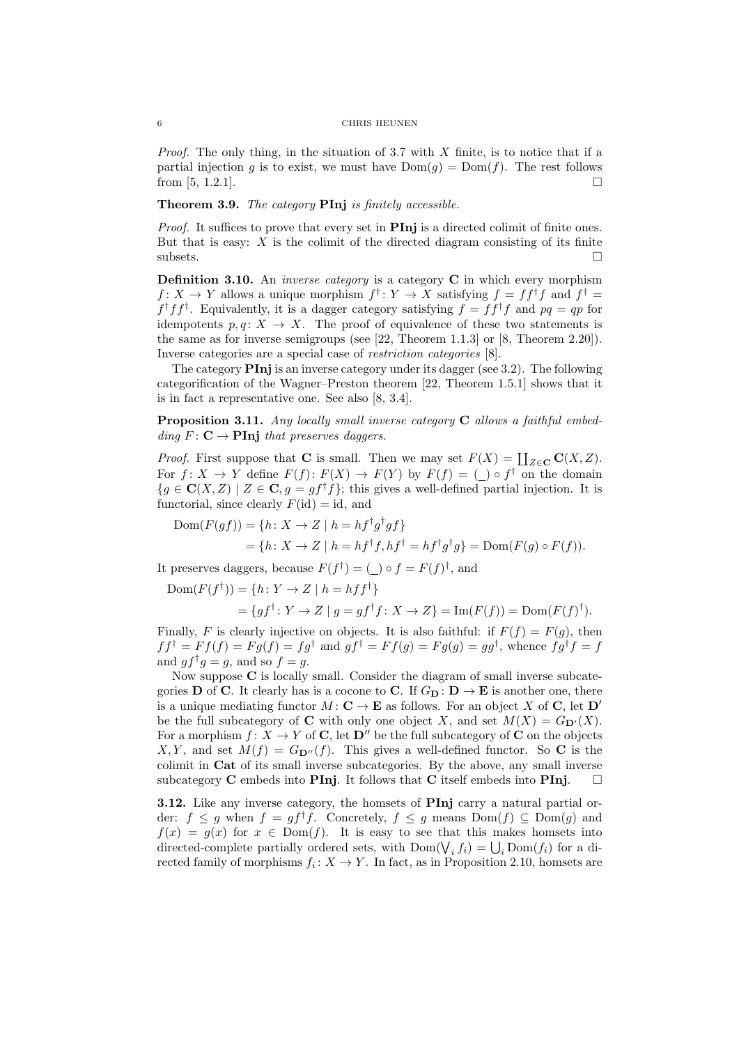*Proof.* The only thing, in the situation of 3.7 with  $X$  finite, is to notice that if a partial injection g is to exist, we must have  $Dom(g) = Dom(f)$ . The rest follows from [5, 1.2.1].

### Theorem 3.9. The category PInj is finitely accessible.

Proof. It suffices to prove that every set in **PInj** is a directed colimit of finite ones. But that is easy:  $X$  is the colimit of the directed diagram consisting of its finite  $\Box$ 

**Definition 3.10.** An *inverse category* is a category  $C$  in which every morphism  $f: X \to Y$  allows a unique morphism  $f^{\dagger}: Y \to X$  satisfying  $f = ff^{\dagger}f$  and  $f^{\dagger} =$  $f^{\dagger} f f^{\dagger}$ . Equivalently, it is a dagger category satisfying  $f = f f^{\dagger} f$  and  $pq = qp$  for idempotents  $p, q: X \to X$ . The proof of equivalence of these two statements is the same as for inverse semigroups (see [22, Theorem 1.1.3] or [8, Theorem 2.20]). Inverse categories are a special case of restriction categories [8].

The category  $\textbf{Pin}$  is an inverse category under its dagger (see 3.2). The following categorification of the Wagner–Preston theorem [22, Theorem 1.5.1] shows that it is in fact a representative one. See also [8, 3.4].

Proposition 3.11. Any locally small inverse category C allows a faithful embedding  $F: \mathbf{C} \to \mathbf{Pinj}$  that preserves daggers.

*Proof.* First suppose that **C** is small. Then we may set  $F(X) = \coprod_{Z \in \mathbf{C}} \mathbf{C}(X, Z)$ . For  $f: X \to Y$  define  $F(f): F(X) \to F(Y)$  by  $F(f) = (\_) \circ f^{\dagger}$  on the domain  ${g \in \mathbf{C}(X,Z) \mid Z \in \mathbf{C}, g = gf^{\dagger}f};$  this gives a well-defined partial injection. It is functorial, since clearly  $F(\text{id}) = \text{id}$ , and

 $Dom(F(gf)) = \{h: X \to Z \mid h = hf^{\dagger}g^{\dagger}gf\}$  $=\{h\colon X\to Z\mid h=hf^{\dagger}f, hf^{\dagger}=hf^{\dagger}g^{\dagger}g\}=\text{Dom}(F(g)\circ F(f)).$ 

It preserves daggers, because  $F(f^{\dagger}) = (\underline{\ } ) \circ f = F(f)^{\dagger}$ , and

$$
Dom(F(f^{\dagger})) = \{h \colon Y \to Z \mid h = h f f^{\dagger}\}
$$
  
= 
$$
\{g f^{\dagger} \colon Y \to Z \mid g = g f^{\dagger} f \colon X \to Z\} = Im(F(f)) = Dom(F(f))^{\dagger}).
$$

Finally, F is clearly injective on objects. It is also faithful: if  $F(f) = F(g)$ , then  $f f^{\dagger} = F f(f) = F g(f) = f g^{\dagger}$  and  $g f^{\dagger} = F f(g) = F g(g) = g g^{\dagger}$ , whence  $f g^{\dagger} f = f$ and  $gf^{\dagger}g = g$ , and so  $f = g$ .

Now suppose C is locally small. Consider the diagram of small inverse subcategories **D** of **C**. It clearly has is a cocone to **C**. If  $G_{\mathbf{D}} : \mathbf{D} \to \mathbf{E}$  is another one, there is a unique mediating functor  $M: \mathbf{C} \to \mathbf{E}$  as follows. For an object X of **C**, let  $\mathbf{D}'$ be the full subcategory of **C** with only one object X, and set  $M(X) = G_{\mathbf{D}'}(X)$ . For a morphism  $f: X \to Y$  of **C**, let  $D''$  be the full subcategory of **C** on the objects X, Y, and set  $M(f) = G_{\mathbf{D}''}(f)$ . This gives a well-defined functor. So C is the colimit in Cat of its small inverse subcategories. By the above, any small inverse subcategory **C** embeds into **PInj**. It follows that **C** itself embeds into **PInj**.  $\Box$ 

3.12. Like any inverse category, the homsets of PInj carry a natural partial order:  $f \leq g$  when  $f = gf^{\dagger}f$ . Concretely,  $f \leq g$  means  $Dom(f) \subseteq Dom(g)$  and  $f(x) = g(x)$  for  $x \in Dom(f)$ . It is easy to see that this makes homsets into directed-complete partially ordered sets, with  $Dom(\bigvee_i f_i) = \bigcup_i Dom(f_i)$  for a directed family of morphisms  $f_i: X \to Y$ . In fact, as in Proposition 2.10, homsets are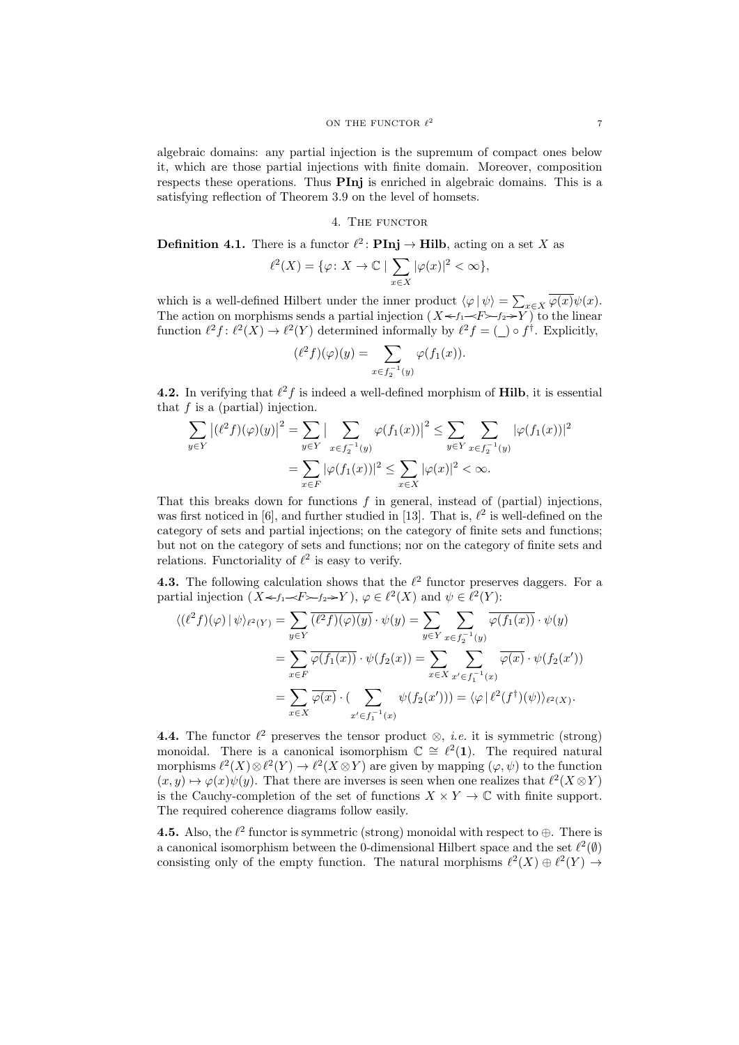algebraic domains: any partial injection is the supremum of compact ones below it, which are those partial injections with finite domain. Moreover, composition respects these operations. Thus PInj is enriched in algebraic domains. This is a satisfying reflection of Theorem 3.9 on the level of homsets.

## 4. THE FUNCTOR

**Definition 4.1.** There is a functor  $\ell^2$ : **PInj**  $\rightarrow$  **Hilb**, acting on a set X as

$$
\ell^2(X)=\{\varphi\colon X\to\mathbb{C}\mid \sum_{x\in X}|\varphi(x)|^2<\infty\},
$$

which is a well-defined Hilbert under the inner product  $\langle \varphi | \psi \rangle = \sum_{x \in X} \varphi(x) \psi(x)$ . The action on morphisms sends a partial injection  $(X \leq f_1 \leq F \geq f_2 \geq Y)$  to the linear function  $\ell^2 f : \ell^2(X) \to \ell^2(Y)$  determined informally by  $\ell^2 f = (\ell) \circ f^{\dagger}$ . Explicitly,

$$
(\ell^2 f)(\varphi)(y) = \sum_{x \in f_2^{-1}(y)} \varphi(f_1(x)).
$$

**4.2.** In verifying that  $\ell^2 f$  is indeed a well-defined morphism of **Hilb**, it is essential that  $f$  is a (partial) injection.

$$
\sum_{y \in Y} |(\ell^2 f)(\varphi)(y)|^2 = \sum_{y \in Y} |\sum_{x \in f_2^{-1}(y)} \varphi(f_1(x))|^2 \le \sum_{y \in Y} \sum_{x \in f_2^{-1}(y)} |\varphi(f_1(x))|^2
$$
  
= 
$$
\sum_{x \in F} |\varphi(f_1(x))|^2 \le \sum_{x \in X} |\varphi(x)|^2 < \infty.
$$

That this breaks down for functions  $f$  in general, instead of (partial) injections, was first noticed in [6], and further studied in [13]. That is,  $\ell^2$  is well-defined on the category of sets and partial injections; on the category of finite sets and functions; but not on the category of sets and functions; nor on the category of finite sets and relations. Functoriality of  $\ell^2$  is easy to verify.

**4.3.** The following calculation shows that the  $\ell^2$  functor preserves daggers. For a partial injection  $(X \leq f_1 \leq F \geq f_2 \geq Y), \varphi \in \ell^2(X)$  and  $\psi \in \ell^2(Y)$ :

$$
\langle (\ell^2 f)(\varphi) | \psi \rangle_{\ell^2(Y)} = \sum_{y \in Y} \overline{(\ell^2 f)(\varphi)(y)} \cdot \psi(y) = \sum_{y \in Y} \sum_{x \in f_2^{-1}(y)} \overline{\varphi(f_1(x))} \cdot \psi(y)
$$

$$
= \sum_{x \in F} \overline{\varphi(f_1(x))} \cdot \psi(f_2(x)) = \sum_{x \in X} \sum_{x' \in f_1^{-1}(x)} \overline{\varphi(x)} \cdot \psi(f_2(x'))
$$

$$
= \sum_{x \in X} \overline{\varphi(x)} \cdot (\sum_{x' \in f_1^{-1}(x)} \psi(f_2(x'))) = \langle \varphi | \ell^2(f^{\dagger})(\psi) \rangle_{\ell^2(X)}.
$$

**4.4.** The functor  $\ell^2$  preserves the tensor product  $\otimes$ , *i.e.* it is symmetric (strong) monoidal. There is a canonical isomorphism  $\mathbb{C} \cong \ell^2(1)$ . The required natural morphisms  $\ell^2(X) \otimes \ell^2(Y) \to \ell^2(X \otimes Y)$  are given by mapping  $(\varphi, \psi)$  to the function  $(x, y) \mapsto \varphi(x)\psi(y)$ . That there are inverses is seen when one realizes that  $\ell^2(X \otimes Y)$ is the Cauchy-completion of the set of functions  $X \times Y \to \mathbb{C}$  with finite support. The required coherence diagrams follow easily.

**4.5.** Also, the  $\ell^2$  functor is symmetric (strong) monoidal with respect to  $\oplus$ . There is a canonical isomorphism between the 0-dimensional Hilbert space and the set  $\ell^2(\emptyset)$ consisting only of the empty function. The natural morphisms  $\ell^2(X) \oplus \ell^2(Y) \rightarrow$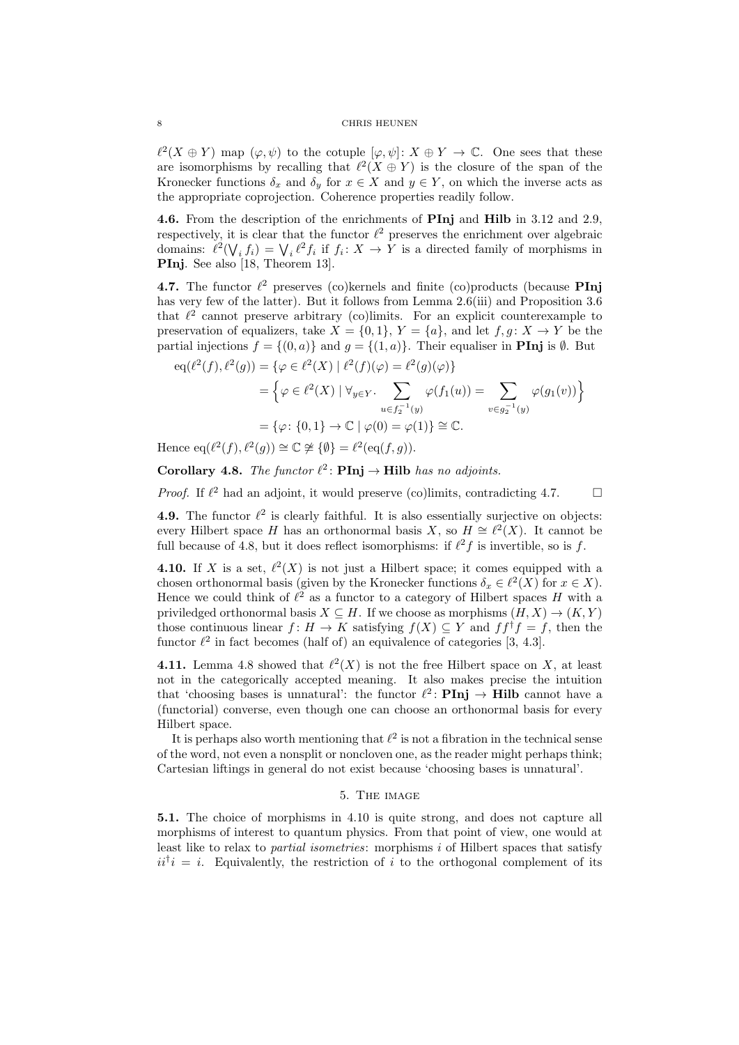$\ell^2(X \oplus Y)$  map  $(\varphi, \psi)$  to the cotuple  $[\varphi, \psi] : X \oplus Y \to \mathbb{C}$ . One sees that these are isomorphisms by recalling that  $\ell^2(X \oplus Y)$  is the closure of the span of the Kronecker functions  $\delta_x$  and  $\delta_y$  for  $x \in X$  and  $y \in Y$ , on which the inverse acts as the appropriate coprojection. Coherence properties readily follow.

4.6. From the description of the enrichments of PInj and Hilb in 3.12 and 2.9, respectively, it is clear that the functor  $\ell^2$  preserves the enrichment over algebraic domains:  $\ell^2(\bigvee_i f_i) = \bigvee_i \ell^2 f_i$  if  $f_i: X \to Y$  is a directed family of morphisms in PInj. See also [18, Theorem 13].

4.7. The functor  $\ell^2$  preserves (co)kernels and finite (co)products (because PInj has very few of the latter). But it follows from Lemma 2.6(iii) and Proposition 3.6 that  $\ell^2$  cannot preserve arbitrary (co)limits. For an explicit counterexample to preservation of equalizers, take  $X = \{0, 1\}$ ,  $Y = \{a\}$ , and let  $f, g: X \to Y$  be the partial injections  $f = \{(0, a)\}\$ and  $g = \{(1, a)\}\$ . Their equaliser in **PInj** is  $\emptyset$ . But

$$
eq(\ell^{2}(f), \ell^{2}(g)) = \{ \varphi \in \ell^{2}(X) \mid \ell^{2}(f)(\varphi) = \ell^{2}(g)(\varphi) \}
$$
  
= 
$$
\left\{ \varphi \in \ell^{2}(X) \mid \forall_{y \in Y}.\sum_{u \in f_{2}^{-1}(y)} \varphi(f_{1}(u)) = \sum_{v \in g_{2}^{-1}(y)} \varphi(g_{1}(v)) \right\}
$$
  
= 
$$
\{\varphi \colon \{0,1\} \to \mathbb{C} \mid \varphi(0) = \varphi(1) \} \cong \mathbb{C}.
$$

Hence  $eq(\ell^2(f), \ell^2(g)) \cong \mathbb{C} \not\cong {\emptyset} = \ell^2(\text{eq}(f, g)).$ 

**Corollary 4.8.** The functor  $\ell^2$ : **PInj**  $\rightarrow$  **Hilb** has no adjoints.

*Proof.* If  $\ell^2$  had an adjoint, it would preserve (co)limits, contradicting 4.7.

**4.9.** The functor  $\ell^2$  is clearly faithful. It is also essentially surjective on objects: every Hilbert space H has an orthonormal basis X, so  $H \cong \ell^2(X)$ . It cannot be full because of 4.8, but it does reflect isomorphisms: if  $\ell^2 f$  is invertible, so is f.

**4.10.** If X is a set,  $\ell^2(X)$  is not just a Hilbert space; it comes equipped with a chosen orthonormal basis (given by the Kronecker functions  $\delta_x \in \ell^2(X)$  for  $x \in X$ ). Hence we could think of  $\ell^2$  as a functor to a category of Hilbert spaces H with a priviledged orthonormal basis  $X \subseteq H$ . If we choose as morphisms  $(H, X) \to (K, Y)$ those continuous linear  $f: H \to K$  satisfying  $f(X) \subseteq Y$  and  $ff^{\dagger}f = f$ , then the functor  $\ell^2$  in fact becomes (half of) an equivalence of categories [3, 4.3].

**4.11.** Lemma 4.8 showed that  $\ell^2(X)$  is not the free Hilbert space on X, at least not in the categorically accepted meaning. It also makes precise the intuition that 'choosing bases is unnatural': the functor  $\ell^2$ : **PInj**  $\rightarrow$  **Hilb** cannot have a (functorial) converse, even though one can choose an orthonormal basis for every Hilbert space.

It is perhaps also worth mentioning that  $\ell^2$  is not a fibration in the technical sense of the word, not even a nonsplit or noncloven one, as the reader might perhaps think; Cartesian liftings in general do not exist because 'choosing bases is unnatural'.

### 5. The image

5.1. The choice of morphisms in 4.10 is quite strong, and does not capture all morphisms of interest to quantum physics. From that point of view, one would at least like to relax to partial isometries: morphisms i of Hilbert spaces that satisfy  $ii^{\dagger}i = i$ . Equivalently, the restriction of i to the orthogonal complement of its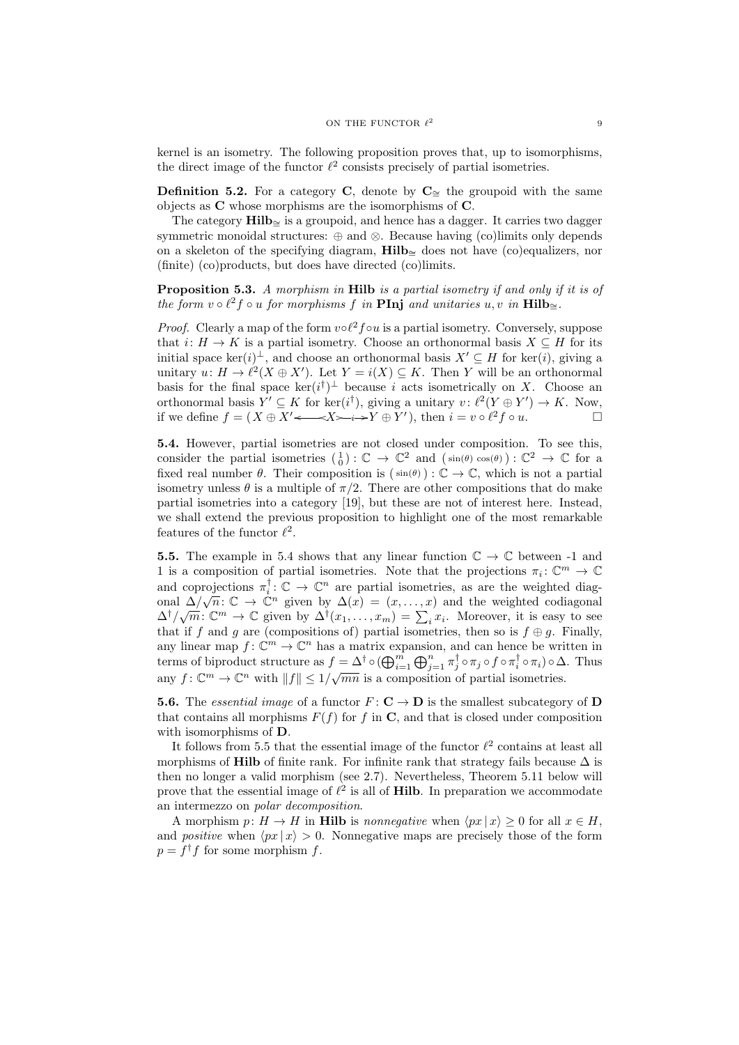kernel is an isometry. The following proposition proves that, up to isomorphisms, the direct image of the functor  $\ell^2$  consists precisely of partial isometries.

**Definition 5.2.** For a category C, denote by  $C_∞$  the groupoid with the same objects as C whose morphisms are the isomorphisms of C.

The category Hilb<sub>≅</sub> is a groupoid, and hence has a dagger. It carries two dagger symmetric monoidal structures: ⊕ and ⊗. Because having (co)limits only depends on a skeleton of the specifying diagram, Hilb<sub>∼</sub> does not have (co)equalizers, nor (finite) (co)products, but does have directed (co)limits.

Proposition 5.3. A morphism in Hilb is a partial isometry if and only if it is of the form  $v \circ \ell^2 f \circ u$  for morphisms f in **PInj** and unitaries  $u, v$  in **Hilb**<sub>≅</sub>.

*Proof.* Clearly a map of the form  $vol^2 f \circ u$  is a partial isometry. Conversely, suppose that  $i: H \to K$  is a partial isometry. Choose an orthonormal basis  $X \subseteq H$  for its initial space ker(i)<sup> $\perp$ </sup>, and choose an orthonormal basis  $X' \subseteq H$  for ker(i), giving a unitary  $u: H \to \ell^2(X \oplus X')$ . Let  $Y = i(X) \subseteq K$ . Then Y will be an orthonormal basis for the final space  $\ker(i^{\dagger})^{\perp}$  because i acts isometrically on X. Choose an orthonormal basis  $Y' \subseteq K$  for ker $(i^{\dagger})$ , giving a unitary  $v: \ell^2(Y \oplus Y') \to K$ . Now, if we define  $f = (X \oplus X' \longleftarrow X \rightarrow Y \oplus Y')$ , then  $i = v \circ \ell^2 f \circ u$ .

5.4. However, partial isometries are not closed under composition. To see this, consider the partial isometries  $(\begin{smallmatrix} 1 \\ 0 \end{smallmatrix}) : \mathbb{C} \to \mathbb{C}^2$  and  $(\sin(\theta) \cos(\theta)) : \mathbb{C}^2 \to \mathbb{C}$  for a fixed real number  $\theta$ . Their composition is  $(\sin(\theta)) : \mathbb{C} \to \mathbb{C}$ , which is not a partial isometry unless  $\theta$  is a multiple of  $\pi/2$ . There are other compositions that do make partial isometries into a category [19], but these are not of interest here. Instead, we shall extend the previous proposition to highlight one of the most remarkable features of the functor  $\ell^2$ .

**5.5.** The example in 5.4 shows that any linear function  $\mathbb{C} \to \mathbb{C}$  between -1 and 1 is a composition of partial isometries. Note that the projections  $\pi_i: \mathbb{C}^m \to \mathbb{C}$ and coprojections  $\pi_i^{\dagger} : \mathbb{C} \to \mathbb{C}^n$  are partial isometries, as are the weighted diagand coprojections  $\pi_i : \mathbb{C} \to \mathbb{C}$  are partial isometries, as are the weighted codiagonal<br>onal  $\Delta/\sqrt{n}: \mathbb{C} \to \mathbb{C}^n$  given by  $\Delta(x) = (x, \ldots, x)$  and the weighted codiagonal  $\Delta^{\dagger}/\sqrt{m}$ :  $\mathbb{C}^m \to \mathbb{C}$  given by  $\Delta^{\dagger}(x_1,\ldots,x_m) = \sum_i x_i$ . Moreover, it is easy to see that if f and g are (compositions of) partial isometries, then so is  $f \oplus g$ . Finally, any linear map  $f: \mathbb{C}^m \to \mathbb{C}^n$  has a matrix expansion, and can hence be written in terms of biproduct structure as  $f = \Delta^{\dagger} \circ (\bigoplus_{i=1}^{m} \bigoplus_{j=1}^{n} \pi_{j}^{\dagger} \circ \pi_{j} \circ f \circ \pi_{i}^{\dagger} \circ \pi_{i}) \circ \Delta$ . Thus any  $f: \mathbb{C}^m \to \mathbb{C}^n$  with  $||f|| \leq 1/\sqrt{mn}$  is a composition of partial isometries.

**5.6.** The essential image of a functor  $F: \mathbf{C} \to \mathbf{D}$  is the smallest subcategory of D that contains all morphisms  $F(f)$  for f in C, and that is closed under composition with isomorphisms of D.

It follows from 5.5 that the essential image of the functor  $\ell^2$  contains at least all morphisms of Hilb of finite rank. For infinite rank that strategy fails because  $\Delta$  is then no longer a valid morphism (see 2.7). Nevertheless, Theorem 5.11 below will prove that the essential image of  $\ell^2$  is all of **Hilb**. In preparation we accommodate an intermezzo on polar decomposition.

A morphism  $p: H \to H$  in Hilb is nonnegative when  $\langle px | x \rangle \geq 0$  for all  $x \in H$ , and *positive* when  $\langle px | x \rangle > 0$ . Nonnegative maps are precisely those of the form  $p = f<sup>\dagger</sup> f$  for some morphism f.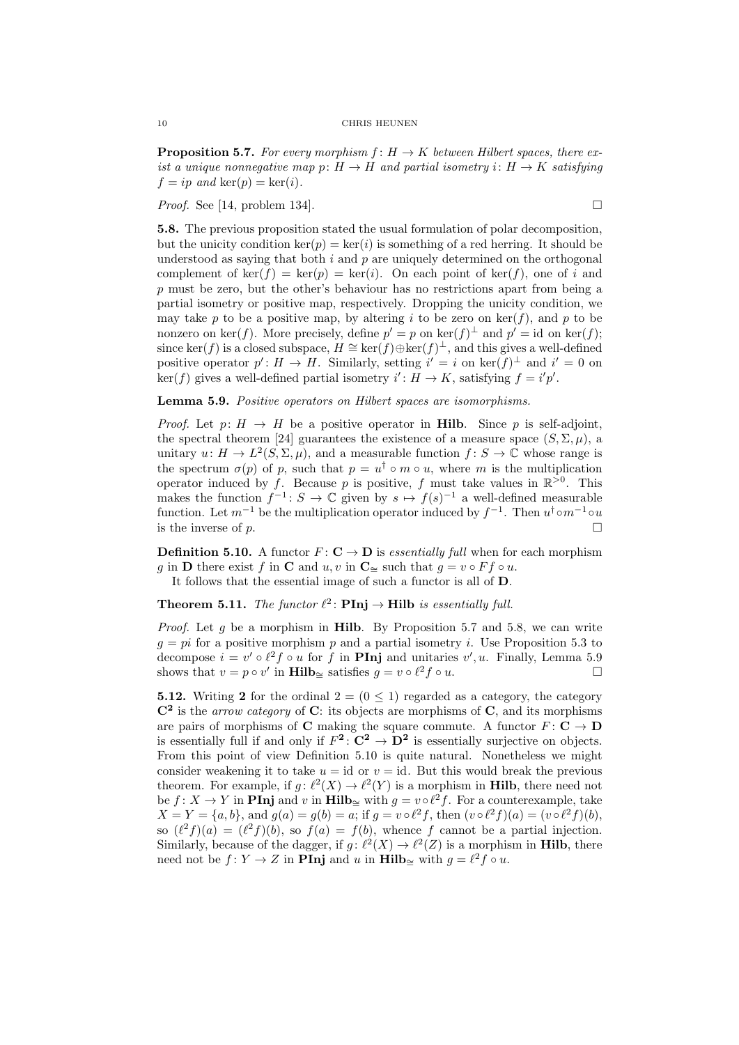**Proposition 5.7.** For every morphism  $f: H \to K$  between Hilbert spaces, there exist a unique nonnegative map  $p: H \to H$  and partial isometry  $i: H \to K$  satisfying  $f = ip$  and  $\ker(p) = \ker(i)$ .

*Proof.* See [14, problem 134].

5.8. The previous proposition stated the usual formulation of polar decomposition, but the unicity condition  $\ker(p) = \ker(i)$  is something of a red herring. It should be understood as saying that both  $i$  and  $p$  are uniquely determined on the orthogonal complement of ker(f) = ker(p) = ker(i). On each point of ker(f), one of i and p must be zero, but the other's behaviour has no restrictions apart from being a partial isometry or positive map, respectively. Dropping the unicity condition, we may take p to be a positive map, by altering i to be zero on  $\ker(f)$ , and p to be nonzero on ker(f). More precisely, define  $p' = p$  on ker(f)<sup> $\perp$ </sup> and  $p' = id$  on ker(f); since ker(f) is a closed subspace,  $H \cong \ker(f) \oplus \ker(f)^{\perp}$ , and this gives a well-defined positive operator  $p' : H \to H$ . Similarly, setting  $i' = i$  on  $\ker(f)^{\perp}$  and  $i' = 0$  on  $\ker(f)$  gives a well-defined partial isometry  $i': H \to K$ , satisfying  $f = i'p'$ .

Lemma 5.9. Positive operators on Hilbert spaces are isomorphisms.

*Proof.* Let  $p: H \to H$  be a positive operator in **Hilb.** Since p is self-adjoint, the spectral theorem [24] guarantees the existence of a measure space  $(S, \Sigma, \mu)$ , a unitary  $u: H \to L^2(S, \Sigma, \mu)$ , and a measurable function  $f: S \to \mathbb{C}$  whose range is the spectrum  $\sigma(p)$  of p, such that  $p = u^{\dagger} \circ m \circ u$ , where m is the multiplication operator induced by f. Because p is positive, f must take values in  $\mathbb{R}^{>0}$ . This makes the function  $f^{-1}: S \to \mathbb{C}$  given by  $s \mapsto f(s)^{-1}$  a well-defined measurable function. Let  $m^{-1}$  be the multiplication operator induced by  $f^{-1}$ . Then  $u^{\dagger} \circ m^{-1} \circ u$ is the inverse of p.  $\Box$ 

**Definition 5.10.** A functor  $F: \mathbf{C} \to \mathbf{D}$  is *essentially full when for each morphism* q in **D** there exist f in **C** and u, v in **C** $\approx$  such that  $q = v \circ F f \circ u$ .

It follows that the essential image of such a functor is all of D.

**Theorem 5.11.** The functor  $\ell^2$ : **PInj**  $\rightarrow$  **Hilb** is essentially full.

*Proof.* Let g be a morphism in **Hilb.** By Proposition 5.7 and 5.8, we can write  $g = pi$  for a positive morphism p and a partial isometry i. Use Proposition 5.3 to decompose  $i = v' \circ \ell^2 f \circ u$  for f in **PInj** and unitaries  $v', u$ . Finally, Lemma 5.9 shows that  $v = p \circ v'$  in **Hilb**≃ satisfies  $g = v \circ \ell^2 f \circ u$ .

**5.12.** Writing 2 for the ordinal  $2 = (0 \le 1)$  regarded as a category, the category  $\mathbb{C}^2$  is the *arrow category* of C: its objects are morphisms of C, and its morphisms are pairs of morphisms of C making the square commute. A functor  $F: \mathbf{C} \to \mathbf{D}$ is essentially full if and only if  $F^2: \mathbb{C}^2 \to \mathbb{D}^2$  is essentially surjective on objects. From this point of view Definition 5.10 is quite natural. Nonetheless we might consider weakening it to take  $u = id$  or  $v = id$ . But this would break the previous theorem. For example, if  $g: \ell^2(X) \to \ell^2(Y)$  is a morphism in **Hilb**, there need not be  $f: X \to Y$  in **PInj** and v in Hilb<sub>≅</sub> with  $g = v \circ \ell^2 f$ . For a counterexample, take  $X = Y = \{a, b\}$ , and  $g(a) = g(b) = a$ ; if  $g = v \circ \ell^2 f$ , then  $(v \circ \ell^2 f)(a) = (v \circ \ell^2 f)(b)$ , so  $(\ell^2 f)(a) = (\ell^2 f)(b)$ , so  $f(a) = f(b)$ , whence f cannot be a partial injection. Similarly, because of the dagger, if  $g: \ell^2(X) \to \ell^2(Z)$  is a morphism in **Hilb**, there need not be  $f: Y \to Z$  in **PInj** and u in **Hilb**<sub>≅</sub> with  $g = \ell^2 f \circ u$ .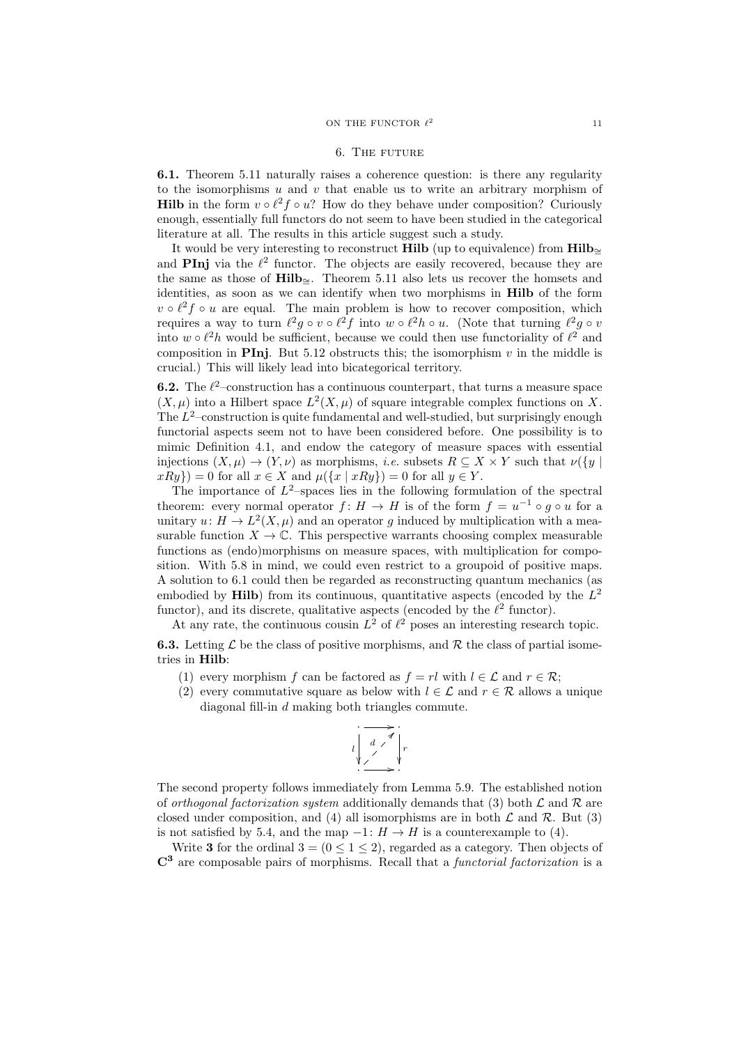#### 6. The future

6.1. Theorem 5.11 naturally raises a coherence question: is there any regularity to the isomorphisms  $u$  and  $v$  that enable us to write an arbitrary morphism of **Hilb** in the form  $v \circ \ell^2 f \circ u$ ? How do they behave under composition? Curiously enough, essentially full functors do not seem to have been studied in the categorical literature at all. The results in this article suggest such a study.

It would be very interesting to reconstruct Hilb (up to equivalence) from Hilb∼<sup>=</sup> and **PInj** via the  $\ell^2$  functor. The objects are easily recovered, because they are the same as those of Hilb<sub>≃</sub>. Theorem 5.11 also lets us recover the homsets and identities, as soon as we can identify when two morphisms in Hilb of the form  $v \circ \ell^2 f \circ u$  are equal. The main problem is how to recover composition, which requires a way to turn  $\ell^2 g \circ v \circ \ell^2 f$  into  $w \circ \ell^2 h \circ u$ . (Note that turning  $\ell^2 g \circ v$ into  $w \circ \ell^2 h$  would be sufficient, because we could then use functoriality of  $\ell^2$  and composition in PIni. But 5.12 obstructs this; the isomorphism v in the middle is crucial.) This will likely lead into bicategorical territory.

**6.2.** The  $\ell^2$ -construction has a continuous counterpart, that turns a measure space  $(X, \mu)$  into a Hilbert space  $L^2(X, \mu)$  of square integrable complex functions on X. The  $L^2$ -construction is quite fundamental and well-studied, but surprisingly enough functorial aspects seem not to have been considered before. One possibility is to mimic Definition 4.1, and endow the category of measure spaces with essential injections  $(X, \mu) \to (Y, \nu)$  as morphisms, *i.e.* subsets  $R \subset X \times Y$  such that  $\nu({y \mid w})$  $xRy\}) = 0$  for all  $x \in X$  and  $\mu({x | xRy}) = 0$  for all  $y \in Y$ .

The importance of  $L^2$ -spaces lies in the following formulation of the spectral theorem: every normal operator  $f: H \to H$  is of the form  $f = u^{-1} \circ g \circ u$  for a unitary  $u: H \to L^2(X, \mu)$  and an operator g induced by multiplication with a measurable function  $X \to \mathbb{C}$ . This perspective warrants choosing complex measurable functions as (endo)morphisms on measure spaces, with multiplication for composition. With 5.8 in mind, we could even restrict to a groupoid of positive maps. A solution to 6.1 could then be regarded as reconstructing quantum mechanics (as embodied by **Hilb**) from its continuous, quantitative aspects (encoded by the  $L^2$ functor), and its discrete, qualitative aspects (encoded by the  $\ell^2$  functor).

At any rate, the continuous cousin  $L^2$  of  $\ell^2$  poses an interesting research topic.

**6.3.** Letting  $\mathcal{L}$  be the class of positive morphisms, and  $\mathcal{R}$  the class of partial isometries in Hilb:

- (1) every morphism f can be factored as  $f = rl$  with  $l \in \mathcal{L}$  and  $r \in \mathcal{R}$ ;
- (2) every commutative square as below with  $l \in \mathcal{L}$  and  $r \in \mathcal{R}$  allows a unique diagonal fill-in d making both triangles commute.

$$
\begin{array}{c}\n\cdot \longrightarrow \\
\downarrow \quad \downarrow \quad \searrow \\
\downarrow \quad \searrow \quad \searrow \\
\cdot \longrightarrow \cdot\n\end{array}
$$

The second property follows immediately from Lemma 5.9. The established notion of *orthogonal factorization system* additionally demands that (3) both  $\mathcal L$  and  $\mathcal R$  are closed under composition, and (4) all isomorphisms are in both  $\mathcal L$  and  $\mathcal R$ . But (3) is not satisfied by 5.4, and the map  $-1: H \to H$  is a counterexample to (4).

Write 3 for the ordinal  $3 = (0 \le 1 \le 2)$ , regarded as a category. Then objects of  $\mathbb{C}^3$  are composable pairs of morphisms. Recall that a *functorial factorization* is a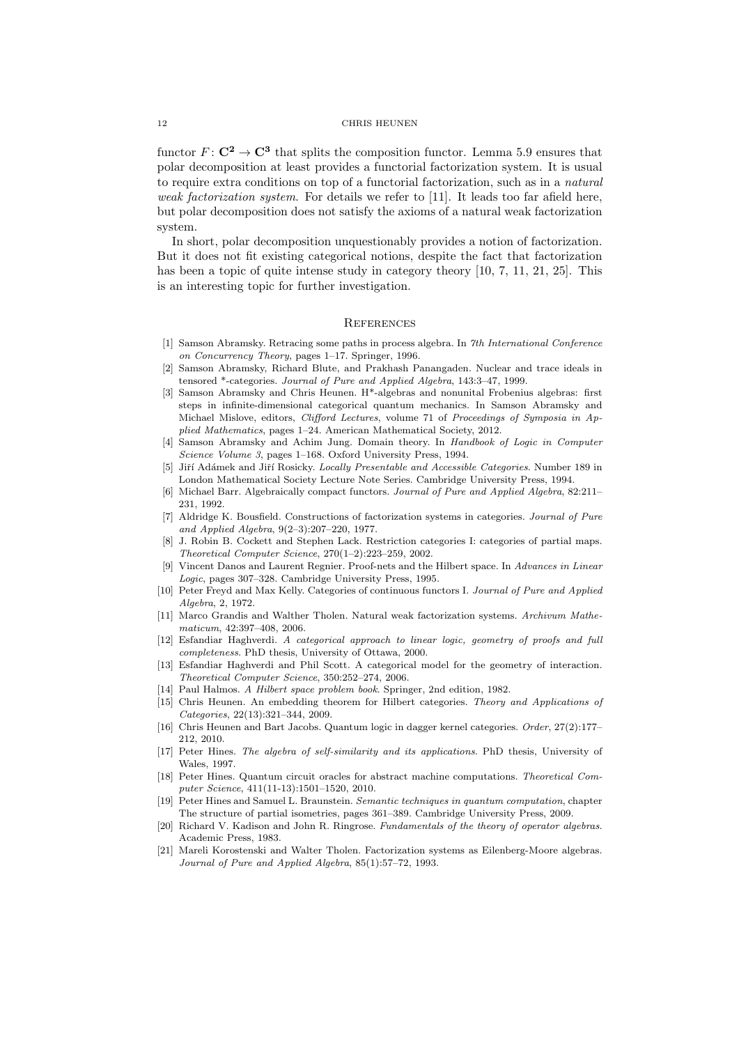functor  $F: \mathbb{C}^2 \to \mathbb{C}^3$  that splits the composition functor. Lemma 5.9 ensures that polar decomposition at least provides a functorial factorization system. It is usual to require extra conditions on top of a functorial factorization, such as in a natural weak factorization system. For details we refer to [11]. It leads too far afield here, but polar decomposition does not satisfy the axioms of a natural weak factorization system.

In short, polar decomposition unquestionably provides a notion of factorization. But it does not fit existing categorical notions, despite the fact that factorization has been a topic of quite intense study in category theory [10, 7, 11, 21, 25]. This is an interesting topic for further investigation.

#### **REFERENCES**

- [1] Samson Abramsky. Retracing some paths in process algebra. In 7th International Conference on Concurrency Theory, pages 1–17. Springer, 1996.
- [2] Samson Abramsky, Richard Blute, and Prakhash Panangaden. Nuclear and trace ideals in tensored \*-categories. Journal of Pure and Applied Algebra, 143:3–47, 1999.
- [3] Samson Abramsky and Chris Heunen. H\*-algebras and nonunital Frobenius algebras: first steps in infinite-dimensional categorical quantum mechanics. In Samson Abramsky and Michael Mislove, editors, Clifford Lectures, volume 71 of Proceedings of Symposia in Applied Mathematics, pages 1–24. American Mathematical Society, 2012.
- [4] Samson Abramsky and Achim Jung. Domain theory. In Handbook of Logic in Computer Science Volume 3, pages 1–168. Oxford University Press, 1994.
- [5] Jiří Adámek and Jiří Rosicky. Locally Presentable and Accessible Categories. Number 189 in London Mathematical Society Lecture Note Series. Cambridge University Press, 1994.
- [6] Michael Barr. Algebraically compact functors. Journal of Pure and Applied Algebra, 82:211-231, 1992.
- [7] Aldridge K. Bousfield. Constructions of factorization systems in categories. Journal of Pure and Applied Algebra, 9(2–3):207–220, 1977.
- [8] J. Robin B. Cockett and Stephen Lack. Restriction categories I: categories of partial maps. Theoretical Computer Science, 270(1–2):223–259, 2002.
- [9] Vincent Danos and Laurent Regnier. Proof-nets and the Hilbert space. In Advances in Linear Logic, pages 307–328. Cambridge University Press, 1995.
- [10] Peter Freyd and Max Kelly. Categories of continuous functors I. Journal of Pure and Applied Algebra, 2, 1972.
- [11] Marco Grandis and Walther Tholen. Natural weak factorization systems. Archivum Mathematicum, 42:397–408, 2006.
- [12] Esfandiar Haghverdi. A categorical approach to linear logic, geometry of proofs and full completeness. PhD thesis, University of Ottawa, 2000.
- [13] Esfandiar Haghverdi and Phil Scott. A categorical model for the geometry of interaction. Theoretical Computer Science, 350:252–274, 2006.
- [14] Paul Halmos. A Hilbert space problem book. Springer, 2nd edition, 1982.
- [15] Chris Heunen. An embedding theorem for Hilbert categories. Theory and Applications of Categories, 22(13):321–344, 2009.
- [16] Chris Heunen and Bart Jacobs. Quantum logic in dagger kernel categories. Order, 27(2):177– 212, 2010.
- [17] Peter Hines. The algebra of self-similarity and its applications. PhD thesis, University of Wales, 1997.
- [18] Peter Hines. Quantum circuit oracles for abstract machine computations. Theoretical Computer Science, 411(11-13):1501–1520, 2010.
- [19] Peter Hines and Samuel L. Braunstein. Semantic techniques in quantum computation, chapter The structure of partial isometries, pages 361–389. Cambridge University Press, 2009.
- [20] Richard V. Kadison and John R. Ringrose. Fundamentals of the theory of operator algebras. Academic Press, 1983.
- [21] Mareli Korostenski and Walter Tholen. Factorization systems as Eilenberg-Moore algebras. Journal of Pure and Applied Algebra, 85(1):57–72, 1993.